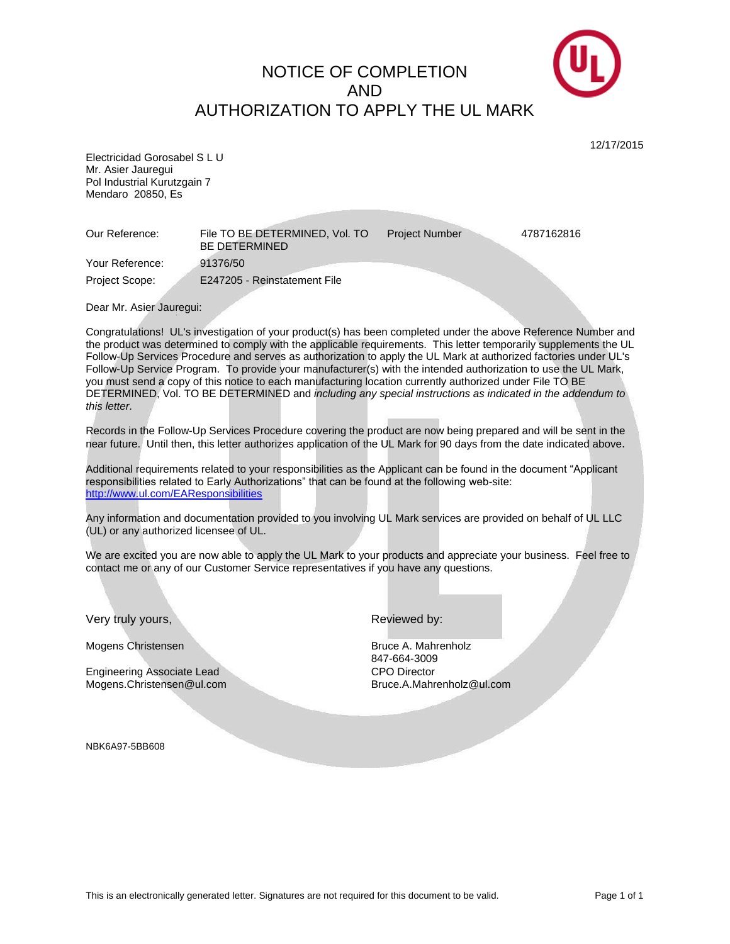## NOTICE OF COMPLETION AND AUTHORIZATION TO APPLY THE UL MARK



12/17/2015

Electricidad Gorosabel S L U Mr. Asier Jauregui Pol Industrial Kurutzgain 7 Mendaro 20850, Es

Our Reference: File TO BE DETERMINED, Vol. TO BE DETERMINED Project Number 4787162816 Your Reference: 91376/50 Project Scope: E247205 - Reinstatement File

Dear Mr. Asier Jauregui:

Congratulations! UL's investigation of your product(s) has been completed under the above Reference Number and the product was determined to comply with the applicable requirements. This letter temporarily supplements the UL Follow-Up Services Procedure and serves as authorization to apply the UL Mark at authorized factories under UL's Follow-Up Service Program. To provide your manufacturer(s) with the intended authorization to use the UL Mark, you must send a copy of this notice to each manufacturing location currently authorized under File TO BE DETERMINED, Vol. TO BE DETERMINED and *including any special instructions as indicated in the addendum to this letter*.

Records in the Follow-Up Services Procedure covering the product are now being prepared and will be sent in the near future. Until then, this letter authorizes application of the UL Mark for 90 days from the date indicated above.

Additional requirements related to your responsibilities as the Applicant can be found in the document "Applicant responsibilities related to Early Authorizations" that can be found at the following web-site: <http://www.ul.com/EAResponsibilities>

Any information and documentation provided to you involving UL Mark services are provided on behalf of UL LLC (UL) or any authorized licensee of UL.

We are excited you are now able to apply the UL Mark to your products and appreciate your business. Feel free to contact me or any of our Customer Service representatives if you have any questions.

Very truly yours, New York 1990 and New York Reviewed by:

Mogens Christensen Bruce A. Mahrenholz

Engineering Associate Lead CPO Director Mogens.Christensen@ul.com Bruce.A.Mahrenholz@ul.com

847-664-3009

NBK6A97-5BB608